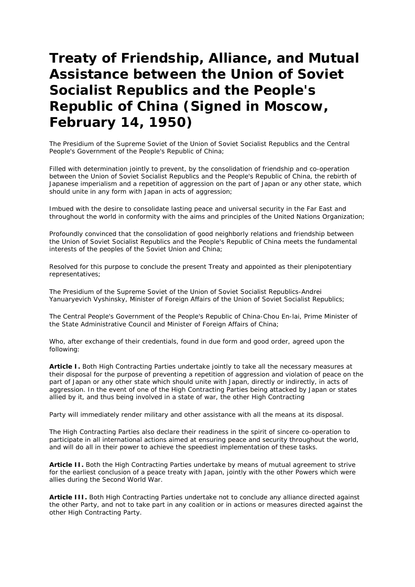## **Treaty of Friendship, Alliance, and Mutual Assistance between the Union of Soviet Socialist Republics and the People's Republic of China (Signed in Moscow, February 14, 1950)**

The Presidium of the Supreme Soviet of the Union of Soviet Socialist Republics and the Central People's Government of the People's Republic of China;

Filled with determination jointly to prevent, by the consolidation of friendship and co-operation between the Union of Soviet Socialist Republics and the People's Republic of China, the rebirth of Japanese imperialism and a repetition of aggression on the part of Japan or any other state, which should unite in any form with Japan in acts of aggression;

Imbued with the desire to consolidate lasting peace and universal security in the Far East and throughout the world in conformity with the aims and principles of the United Nations Organization;

Profoundly convinced that the consolidation of good neighborly relations and friendship between the Union of Soviet Socialist Republics and the People's Republic of China meets the fundamental interests of the peoples of the Soviet Union and China;

Resolved for this purpose to conclude the present Treaty and appointed as their plenipotentiary representatives;

The Presidium of the Supreme Soviet of the Union of Soviet Socialist Republics-Andrei Yanuaryevich Vyshinsky, Minister of Foreign Affairs of the Union of Soviet Socialist Republics;

The Central People's Government of the People's Republic of China-Chou En-lai, Prime Minister of the State Administrative Council and Minister of Foreign Affairs of China;

Who, after exchange of their credentials, found in due form and good order, agreed upon the following:

**Article I.** Both High Contracting Parties undertake jointly to take all the necessary measures at their disposal for the purpose of preventing a repetition of aggression and violation of peace on the part of Japan or any other state which should unite with Japan, directly or indirectly, in acts of aggression. In the event of one of the High Contracting Parties being attacked by Japan or states allied by it, and thus being involved in a state of war, the other High Contracting

Party will immediately render military and other assistance with all the means at its disposal.

The High Contracting Parties also declare their readiness in the spirit of sincere co-operation to participate in all international actions aimed at ensuring peace and security throughout the world, and will do all in their power to achieve the speediest implementation of these tasks.

**Article II.** Both the High Contracting Parties undertake by means of mutual agreement to strive for the earliest conclusion of a peace treaty with Japan, jointly with the other Powers which were allies during the Second World War.

**Article III.** Both High Contracting Parties undertake not to conclude any alliance directed against the other Party, and not to take part in any coalition or in actions or measures directed against the other High Contracting Party.